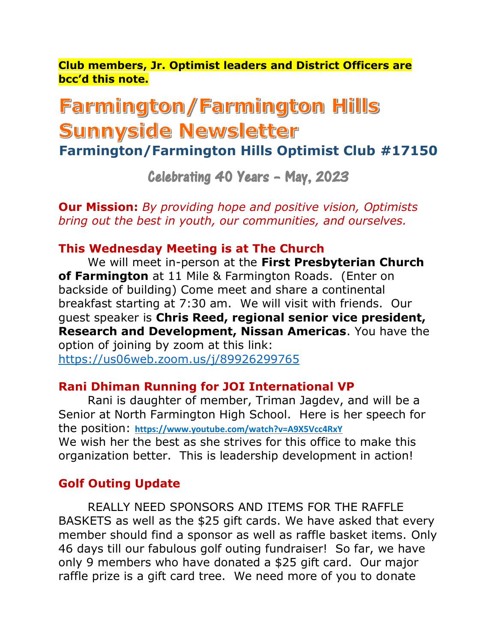**Club members, Jr. Optimist leaders and District Officers are bcc'd this note.**

# Farmington/Farmington Hills Sunnyside Newsletter

**Farmington/Farmington Hills Optimist Club #17150**

Celebrating 40 Years – May, 2023

**Our Mission:** *By providing hope and positive vision, Optimists bring out the best in youth, our communities, and ourselves.*

## **This Wednesday Meeting is at The Church**

We will meet in-person at the **First Presbyterian Church of Farmington** at 11 Mile & Farmington Roads. (Enter on backside of building) Come meet and share a continental breakfast starting at 7:30 am. We will visit with friends. Our guest speaker is **Chris Reed, regional senior vice president, Research and Development, Nissan Americas**. You have the option of joining by zoom at this link:

<https://us06web.zoom.us/j/89926299765>

### **Rani Dhiman Running for JOI International VP**

Rani is daughter of member, Triman Jagdev, and will be a Senior at North Farmington High School. Here is her speech for the position: **<https://www.youtube.com/watch?v=A9X5Vcc4RxY>** We wish her the best as she strives for this office to make this organization better. This is leadership development in action!

# **Golf Outing Update**

REALLY NEED SPONSORS AND ITEMS FOR THE RAFFLE BASKETS as well as the \$25 gift cards. We have asked that every member should find a sponsor as well as raffle basket items. Only 46 days till our fabulous golf outing fundraiser! So far, we have only 9 members who have donated a \$25 gift card. Our major raffle prize is a gift card tree. We need more of you to donate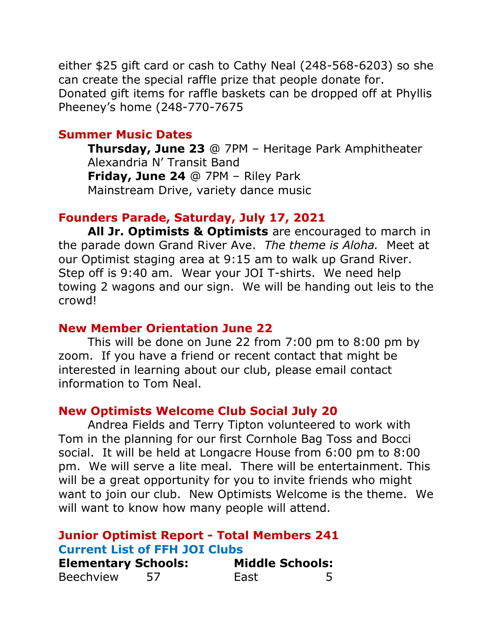either \$25 gift card or cash to Cathy Neal (248-568-6203) so she can create the special raffle prize that people donate for. Donated gift items for raffle baskets can be dropped off at Phyllis Pheeney's home (248-770-7675

#### **Summer Music Dates**

**Thursday, June 23** @ 7PM – Heritage Park Amphitheater Alexandria N' Transit Band **Friday, June 24** @ 7PM – Riley Park Mainstream Drive, variety dance music

#### **Founders Parade, Saturday, July 17, 2021**

**All Jr. Optimists & Optimists** are encouraged to march in the parade down Grand River Ave. *The theme is Aloha.* Meet at our Optimist staging area at 9:15 am to walk up Grand River. Step off is 9:40 am. Wear your JOI T-shirts. We need help towing 2 wagons and our sign. We will be handing out leis to the crowd!

#### **New Member Orientation June 22**

This will be done on June 22 from 7:00 pm to 8:00 pm by zoom. If you have a friend or recent contact that might be interested in learning about our club, please email contact information to Tom Neal.

#### **New Optimists Welcome Club Social July 20**

Andrea Fields and Terry Tipton volunteered to work with Tom in the planning for our first Cornhole Bag Toss and Bocci social. It will be held at Longacre House from 6:00 pm to 8:00 pm. We will serve a lite meal. There will be entertainment. This will be a great opportunity for you to invite friends who might want to join our club. New Optimists Welcome is the theme. We will want to know how many people will attend.

## **Junior Optimist Report - Total Members 241 Current List of FFH JOI Clubs Elementary Schools: Middle Schools:** Beechview 57 East 5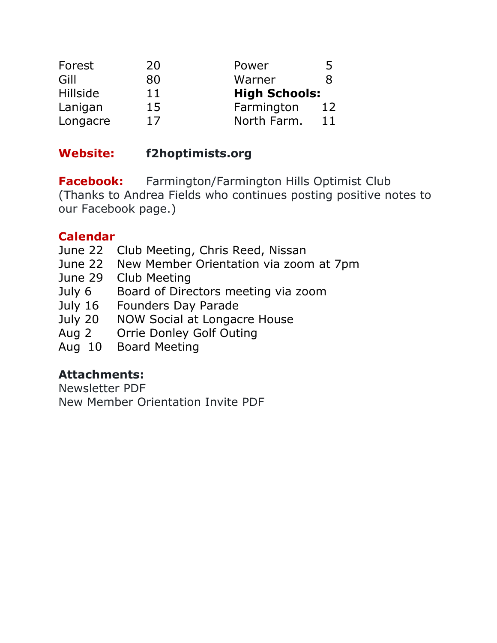| Forest          | 20 | Power                | 5  |
|-----------------|----|----------------------|----|
| Gill            | 80 | Warner               | 8  |
| <b>Hillside</b> | 11 | <b>High Schools:</b> |    |
| Lanigan         | 15 | Farmington           | 12 |
| Longacre        | 17 | North Farm.          | 11 |

# **Website: f2hoptimists.org**

**Facebook:** Farmington/Farmington Hills Optimist Club (Thanks to Andrea Fields who continues posting positive notes to our Facebook page.)

# **Calendar**

- June 22 Club Meeting, Chris Reed, Nissan
- June 22 New Member Orientation via zoom at 7pm
- June 29 Club Meeting
- July 6 Board of Directors meeting via zoom
- July 16 Founders Day Parade
- July 20 NOW Social at Longacre House
- Aug 2 Orrie Donley Golf Outing
- Aug 10 Board Meeting

# **Attachments:**

Newsletter PDF New Member Orientation Invite PDF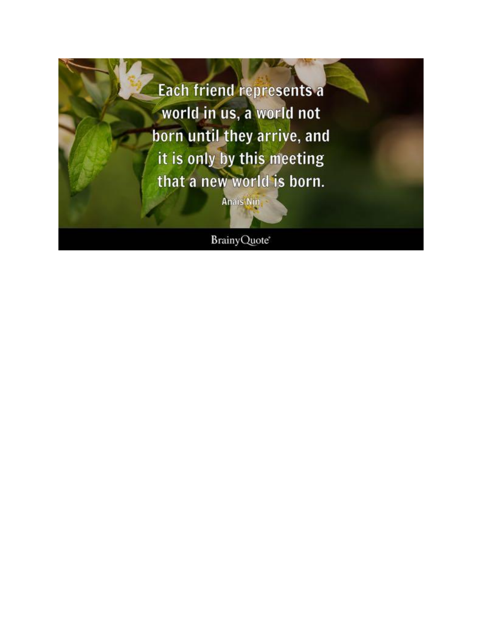